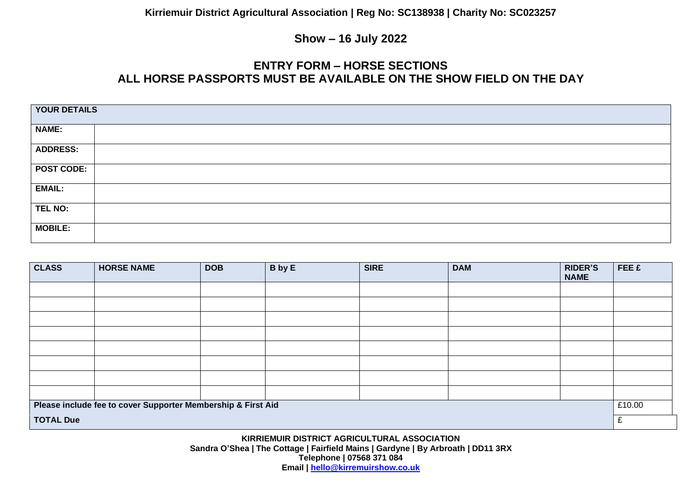#### **Show – 16 July 2022**

## **ENTRY FORM – HORSE SECTIONS ALL HORSE PASSPORTS MUST BE AVAILABLE ON THE SHOW FIELD ON THE DAY**

| YOUR DETAILS      |  |  |
|-------------------|--|--|
| <b>NAME:</b>      |  |  |
| <b>ADDRESS:</b>   |  |  |
| <b>POST CODE:</b> |  |  |
| <b>EMAIL:</b>     |  |  |
| TEL NO:           |  |  |
| <b>MOBILE:</b>    |  |  |

| <b>CLASS</b>                                                 | <b>HORSE NAME</b> | <b>DOB</b> | <b>B</b> by E | <b>SIRE</b> | <b>DAM</b> | <b>RIDER'S</b><br><b>NAME</b> | FEE £ |
|--------------------------------------------------------------|-------------------|------------|---------------|-------------|------------|-------------------------------|-------|
|                                                              |                   |            |               |             |            |                               |       |
|                                                              |                   |            |               |             |            |                               |       |
|                                                              |                   |            |               |             |            |                               |       |
|                                                              |                   |            |               |             |            |                               |       |
|                                                              |                   |            |               |             |            |                               |       |
|                                                              |                   |            |               |             |            |                               |       |
|                                                              |                   |            |               |             |            |                               |       |
|                                                              |                   |            |               |             |            |                               |       |
| Please include fee to cover Supporter Membership & First Aid |                   |            |               |             |            | £10.00                        |       |
| <b>TOTAL Due</b>                                             |                   |            |               |             |            |                               | £     |

**KIRRIEMUIR DISTRICT AGRICULTURAL ASSOCIATION Sandra O'Shea | The Cottage | Fairfield Mains | Gardyne | By Arbroath | DD11 3RX Telephone | 07568 371 084 Email | [hello@kirremuirshow.co.uk](mailto:hello@kirremuirshow.co.uk)**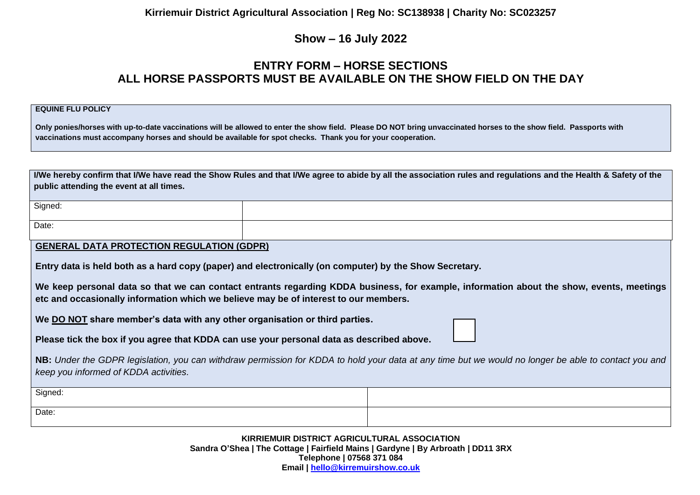**Kirriemuir District Agricultural Association | Reg No: SC138938 | Charity No: SC023257**

## **Show – 16 July 2022**

## **ENTRY FORM – HORSE SECTIONS ALL HORSE PASSPORTS MUST BE AVAILABLE ON THE SHOW FIELD ON THE DAY**

#### **EQUINE FLU POLICY**

**Only ponies/horses with up-to-date vaccinations will be allowed to enter the show field. Please DO NOT bring unvaccinated horses to the show field. Passports with vaccinations must accompany horses and should be available for spot checks. Thank you for your cooperation.**

| I/We hereby confirm that I/We have read the Show Rules and that I/We agree to abide by all the association rules and regulations and the Health & Safety of the<br>public attending the event at all times.                      |                                                                                                        |  |  |  |  |
|----------------------------------------------------------------------------------------------------------------------------------------------------------------------------------------------------------------------------------|--------------------------------------------------------------------------------------------------------|--|--|--|--|
| Signed:                                                                                                                                                                                                                          |                                                                                                        |  |  |  |  |
| Date:                                                                                                                                                                                                                            |                                                                                                        |  |  |  |  |
| <b>GENERAL DATA PROTECTION REGULATION (GDPR)</b>                                                                                                                                                                                 |                                                                                                        |  |  |  |  |
|                                                                                                                                                                                                                                  | Entry data is held both as a hard copy (paper) and electronically (on computer) by the Show Secretary. |  |  |  |  |
| We keep personal data so that we can contact entrants regarding KDDA business, for example, information about the show, events, meetings<br>etc and occasionally information which we believe may be of interest to our members. |                                                                                                        |  |  |  |  |
| We DO NOT share member's data with any other organisation or third parties.                                                                                                                                                      |                                                                                                        |  |  |  |  |
| Please tick the box if you agree that KDDA can use your personal data as described above.                                                                                                                                        |                                                                                                        |  |  |  |  |
| NB: Under the GDPR legislation, you can withdraw permission for KDDA to hold your data at any time but we would no longer be able to contact you and<br>keep you informed of KDDA activities.                                    |                                                                                                        |  |  |  |  |
| Signed:                                                                                                                                                                                                                          |                                                                                                        |  |  |  |  |
| Date:                                                                                                                                                                                                                            |                                                                                                        |  |  |  |  |

**KIRRIEMUIR DISTRICT AGRICULTURAL ASSOCIATION Sandra O'Shea | The Cottage | Fairfield Mains | Gardyne | By Arbroath | DD11 3RX Telephone | 07568 371 084 Email | [hello@kirremuirshow.co.uk](mailto:hello@kirremuirshow.co.uk)**